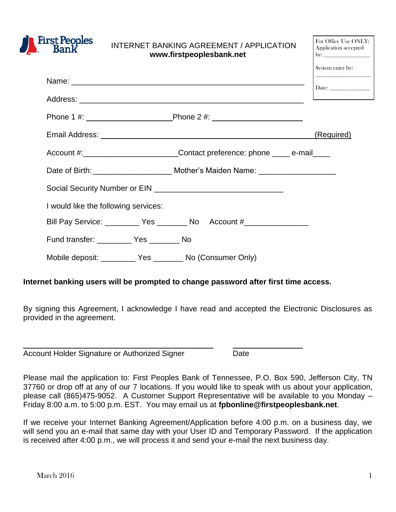

# INTERNET BANKING AGREEMENT / APPLICATION **[www.firstpeoplesbank.net](http://www.firstpeoplesbank.net/)**

|                                                                                  | System entry by:      |
|----------------------------------------------------------------------------------|-----------------------|
|                                                                                  | Date: _______________ |
|                                                                                  |                       |
|                                                                                  |                       |
|                                                                                  | (Required)            |
|                                                                                  |                       |
|                                                                                  |                       |
|                                                                                  |                       |
| I would like the following services:                                             |                       |
| Bill Pay Service: __________ Yes _________ No Account #_________________________ |                       |
| Fund transfer: ____________ Yes __________ No                                    |                       |
| Mobile deposit: ____________ Yes ___________ No (Consumer Only)                  |                       |

# **Internet banking users will be prompted to change password after first time access.**

By signing this Agreement, I acknowledge I have read and accepted the Electronic Disclosures as provided in the agreement.

|  | Account Holder Signature or Authorized Signer | Date |
|--|-----------------------------------------------|------|
|--|-----------------------------------------------|------|

Please mail the application to: First Peoples Bank of Tennessee, P.O. Box 590, Jefferson City, TN 37760 or drop off at any of our 7 locations. If you would like to speak with us about your application, please call (865)475-9052. A Customer Support Representative will be available to you Monday – Friday 8:00 a.m. to 5:00 p.m. EST. You may email us at **[fpbonline@firstpeoplesbank.net](mailto:fpbonline@firstpeoplesbank.net)**.

If we receive your Internet Banking Agreement/Application before 4:00 p.m. on a business day, we will send you an e-mail that same day with your User ID and Temporary Password. If the application is received after 4:00 p.m., we will process it and send your e-mail the next business day.

For Office Use ONLY: Application accepted

 $\mathbf{b}$ v: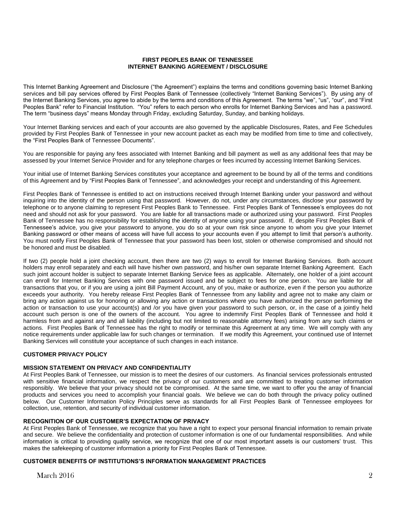## **FIRST PEOPLES BANK OF TENNESSEE INTERNET BANKING AGREEMENT / DISCLOSURE**

This Internet Banking Agreement and Disclosure ("the Agreement") explains the terms and conditions governing basic Internet Banking services and bill pay services offered by First Peoples Bank of Tennessee (collectively "Internet Banking Services"). By using any of the Internet Banking Services, you agree to abide by the terms and conditions of this Agreement. The terms "we", "us", "our", and "First Peoples Bank" refer to Financial Institution. "You" refers to each person who enrolls for Internet Banking Services and has a password. The term "business days" means Monday through Friday, excluding Saturday, Sunday, and banking holidays.

Your Internet Banking services and each of your accounts are also governed by the applicable Disclosures, Rates, and Fee Schedules provided by First Peoples Bank of Tennessee in your new account packet as each may be modified from time to time and collectively, the "First Peoples Bank of Tennessee Documents".

You are responsible for paying any fees associated with Internet Banking and bill payment as well as any additional fees that may be assessed by your Internet Service Provider and for any telephone charges or fees incurred by accessing Internet Banking Services.

Your initial use of Internet Banking Services constitutes your acceptance and agreement to be bound by all of the terms and conditions of this Agreement and by "First Peoples Bank of Tennessee", and acknowledges your receipt and understanding of this Agreement.

First Peoples Bank of Tennessee is entitled to act on instructions received through Internet Banking under your password and without inquiring into the identity of the person using that password. However, do not, under any circumstances, disclose your password by telephone or to anyone claiming to represent First Peoples Bank to Tennessee. First Peoples Bank of Tennessee's employees do not need and should not ask for your password. You are liable for all transactions made or authorized using your password. First Peoples Bank of Tennessee has no responsibility for establishing the identity of anyone using your password. If, despite First Peoples Bank of Tennessee's advice, you give your password to anyone, you do so at your own risk since anyone to whom you give your Internet Banking password or other means of access will have full access to your accounts even if you attempt to limit that person's authority. You must notify First Peoples Bank of Tennessee that your password has been lost, stolen or otherwise compromised and should not be honored and must be disabled.

If two (2) people hold a joint checking account, then there are two (2) ways to enroll for Internet Banking Services. Both account holders may enroll separately and each will have his/her own password, and his/her own separate Internet Banking Agreement. Each such joint account holder is subject to separate Internet Banking Service fees as applicable. Alternately, one holder of a joint account can enroll for Internet Banking Services with one password issued and be subject to fees for one person. You are liable for all transactions that you, or if you are using a joint Bill Payment Account, any of you, make or authorize, even if the person you authorize exceeds your authority. You hereby release First Peoples Bank of Tennessee from any liability and agree not to make any claim or bring any action against us for honoring or allowing any action or transactions where you have authorized the person performing the action or transaction to use your account(s) and /or you have given your password to such person, or, in the case of a jointly held account such person is one of the owners of the account. You agree to indemnify First Peoples Bank of Tennessee and hold it harmless from and against any and all liability (including but not limited to reasonable attorney fees) arising from any such claims or actions. First Peoples Bank of Tennessee has the right to modify or terminate this Agreement at any time. We will comply with any notice requirements under applicable law for such changes or termination. If we modify this Agreement, your continued use of Internet Banking Services will constitute your acceptance of such changes in each instance.

### **CUSTOMER PRIVACY POLICY**

# **MISSION STATEMENT ON PRIVACY AND CONFIDENTIALITY**

At First Peoples Bank of Tennessee, our mission is to meet the desires of our customers. As financial services professionals entrusted with sensitive financial information, we respect the privacy of our customers and are committed to treating customer information responsibly. We believe that your privacy should not be compromised. At the same time, we want to offer you the array of financial products and services you need to accomplish your financial goals. We believe we can do both through the privacy policy outlined below. Our Customer Information Policy Principles serve as standards for all First Peoples Bank of Tennessee employees for collection, use, retention, and security of individual customer information.

### **RECOGNITION OF OUR CUSTOMER'S EXPECTATION OF PRIVACY**

At First Peoples Bank of Tennessee, we recognize that you have a right to expect your personal financial information to remain private and secure. We believe the confidentiality and protection of customer information is one of our fundamental responsibilities. And while information is critical to providing quality service, we recognize that one of our most important assets is our customers' trust. This makes the safekeeping of customer information a priority for First Peoples Bank of Tennessee.

### **CUSTOMER BENEFITS OF INSTITUTIONS'S INFORMATION MANAGEMENT PRACTICES**

March  $2016$   $2$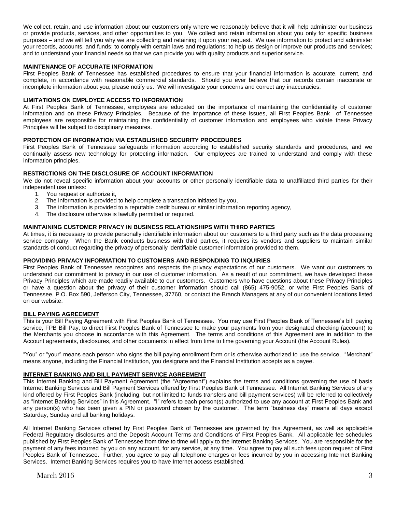We collect, retain, and use information about our customers only where we reasonably believe that it will help administer our business or provide products, services, and other opportunities to you. We collect and retain information about you only for specific business purposes – and we will tell you why we are collecting and retaining it upon your request. We use information to protect and administer your records, accounts, and funds; to comply with certain laws and regulations; to help us design or improve our products and services; and to understand your financial needs so that we can provide you with quality products and superior service.

### **MAINTENANCE OF ACCURATE INFORMATION**

First Peoples Bank of Tennessee has established procedures to ensure that your financial information is accurate, current, and complete, in accordance with reasonable commercial standards. Should you ever believe that our records contain inaccurate or incomplete information about you, please notify us. We will investigate your concerns and correct any inaccuracies.

#### **LIMITATIONS ON EMPLOYEE ACCESS TO INFORMATION**

At First Peoples Bank of Tennessee, employees are educated on the importance of maintaining the confidentiality of customer information and on these Privacy Principles. Because of the importance of these issues, all First Peoples Bank of Tennessee employees are responsible for maintaining the confidentiality of customer information and employees who violate these Privacy Principles will be subject to disciplinary measures.

#### **PROTECTION OF INFORMATION VIA ESTABLISHED SECURITY PROCEDURES**

First Peoples Bank of Tennessee safeguards information according to established security standards and procedures, and we continually assess new technology for protecting information. Our employees are trained to understand and comply with these information principles.

#### **RESTRICTIONS ON THE DISCLOSURE OF ACCOUNT INFORMATION**

We do not reveal specific information about your accounts or other personally identifiable data to unaffiliated third parties for their independent use unless:

- 1. You request or authorize it,
- 2. The information is provided to help complete a transaction initiated by you,
- 3. The information is provided to a reputable credit bureau or similar information reporting agency,
- 4. The disclosure otherwise is lawfully permitted or required.

#### **MAINTAINING CUSTOMER PRIVACY IN BUSINESS RELATIONSHIPS WITH THIRD PARTIES**

At times, it is necessary to provide personally identifiable information about our customers to a third party such as the data processing service company. When the Bank conducts business with third parties, it requires its vendors and suppliers to maintain similar standards of conduct regarding the privacy of personally identifiable customer information provided to them.

#### **PROVIDING PRIVACY INFORMATION TO CUSTOMERS AND RESPONDING TO INQUIRIES**

First Peoples Bank of Tennessee recognizes and respects the privacy expectations of our customers. We want our customers to understand our commitment to privacy in our use of customer information. As a result of our commitment, we have developed these Privacy Principles which are made readily available to our customers. Customers who have questions about these Privacy Principles or have a question about the privacy of their customer information should call (865) 475-9052, or write First Peoples Bank of Tennessee, P.O. Box 590, Jefferson City, Tennessee, 37760, or contact the Branch Managers at any of our convenient locations listed on our website.

#### **BILL PAYING AGREEMENT**

This is your Bill Paying Agreement with First Peoples Bank of Tennessee. You may use First Peoples Bank of Tennessee's bill paying service, FPB Bill Pay, to direct First Peoples Bank of Tennessee to make your payments from your designated checking (account) to the Merchants you choose in accordance with this Agreement. The terms and conditions of this Agreement are in addition to the Account agreements, disclosures, and other documents in effect from time to time governing your Account (the Account Rules).

"You" or "your" means each person who signs the bill paying enrollment form or is otherwise authorized to use the service. "Merchant" means anyone, including the Financial Institution, you designate and the Financial Institution accepts as a payee.

#### **INTERNET BANKING AND BILL PAYMENT SERVICE AGREEMENT**

This Internet Banking and Bill Payment Agreement (the "Agreement") explains the terms and conditions governing the use of basis Internet Banking Services and Bill Payment Services offered by First Peoples Bank of Tennessee. All Internet Banking Services of any kind offered by First Peoples Bank (including, but not limited to funds transfers and bill payment services) will be referred to collectively as "Internet Banking Services" in this Agreement. "I" refers to each person(s) authorized to use any account at First Peoples Bank and any person(s) who has been given a PIN or password chosen by the customer. The term "business day" means all days except Saturday, Sunday and all banking holidays.

All Internet Banking Services offered by First Peoples Bank of Tennessee are governed by this Agreement, as well as applicable Federal Regulatory disclosures and the Deposit Account Terms and Conditions of First Peoples Bank. All applicable fee schedules published by First Peoples Bank of Tennessee from time to time will apply to the Internet Banking Services. You are responsible for the payment of any fees incurred by you on any account, for any service, at any time. You agree to pay all such fees upon request of First Peoples Bank of Tennessee. Further, you agree to pay all telephone charges or fees incurred by you in accessing Internet Banking Services. Internet Banking Services requires you to have Internet access established.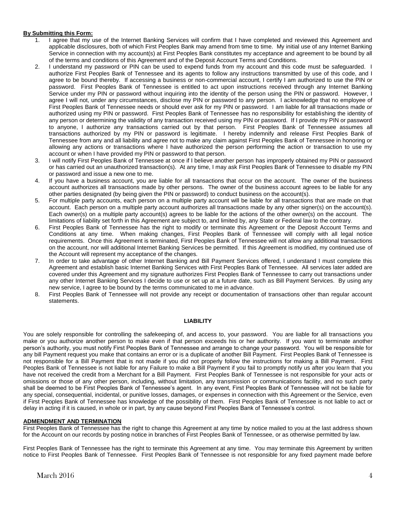## **By Submitting this Form:**

- 1. I agree that my use of the Internet Banking Services will confirm that I have completed and reviewed this Agreement and applicable disclosures, both of which First Peoples Bank may amend from time to time. My initial use of any Internet Banking Service in connection with my account(s) at First Peoples Bank constitutes my acceptance and agreement to be bound by all of the terms and conditions of this Agreement and of the Deposit Account Terms and Conditions.
- 2. I understand my password or PIN can be used to expend funds from my account and this code must be safeguarded. I authorize First Peoples Bank of Tennessee and its agents to follow any instructions transmitted by use of this code, and I agree to be bound thereby. If accessing a business or non-commercial account, I certify I am authorized to use the PIN or password. First Peoples Bank of Tennessee is entitled to act upon instructions received through any Internet Banking Service under my PIN or password without inquiring into the identity of the person using the PIN or password. However, I agree I will not, under any circumstances, disclose my PIN or password to any person. I acknowledge that no employee of First Peoples Bank of Tennessee needs or should ever ask for my PIN or password. I am liable for all transactions made or authorized using my PIN or password. First Peoples Bank of Tennessee has no responsibility for establishing the identity of any person or determining the validity of any transaction received using my PIN or password. If I provide my PIN or password to anyone, I authorize any transactions carried out by that person. First Peoples Bank of Tennessee assumes all transactions authorized by my PIN or password is legitimate. I hereby indemnify and release First Peoples Bank of Tennessee from any and all liability and agree not to make any claim against First Peoples Bank of Tennessee in honoring or allowing any actions or transactions where I have authorized the person performing the action or transaction to use my account or when I have provided my PIN or password to that person.
- 3. I will notify First Peoples Bank of Tennessee at once if I believe another person has improperly obtained my PIN or password or has carried out an unauthorized transaction(s). At any time, I may ask First Peoples Bank of Tennessee to disable my PIN or password and issue a new one to me.
- 4. If you have a business account, you are liable for all transactions that occur on the account. The owner of the business account authorizes all transactions made by other persons. The owner of the business account agrees to be liable for any other parties designated (by being given the PIN or password) to conduct business on the account(s).
- 5. For multiple party accounts, each person on a multiple party account will be liable for all transactions that are made on that account. Each person on a multiple party account authorizes all transactions made by any other signer(s) on the account(s). Each owner(s) on a multiple party account(s) agrees to be liable for the actions of the other owner(s) on the account. The limitations of liability set forth in this Agreement are subject to, and limited by, any State or Federal law to the contrary.
- 6. First Peoples Bank of Tennessee has the right to modify or terminate this Agreement or the Deposit Account Terms and Conditions at any time. When making changes, First Peoples Bank of Tennessee will comply with all legal notice requirements. Once this Agreement is terminated, First Peoples Bank of Tennessee will not allow any additional transactions on the account, nor will additional Internet Banking Services be permitted. If this Agreement is modified, my continued use of the Account will represent my acceptance of the changes.
- 7. In order to take advantage of other Internet Banking and Bill Payment Services offered, I understand I must complete this Agreement and establish basic Internet Banking Services with First Peoples Bank of Tennessee. All services later added are covered under this Agreement and my signature authorizes First Peoples Bank of Tennessee to carry out transactions under any other Internet Banking Services I decide to use or set up at a future date, such as Bill Payment Services. By using any new service, I agree to be bound by the terms communicated to me in advance.
- 8. First Peoples Bank of Tennessee will not provide any receipt or documentation of transactions other than regular account statements.

### **LIABILITY**

You are solely responsible for controlling the safekeeping of, and access to, your password. You are liable for all transactions you make or you authorize another person to make even if that person exceeds his or her authority. If you want to terminate another person's authority, you must notify First Peoples Bank of Tennessee and arrange to change your password. You will be responsible for any bill Payment request you make that contains an error or is a duplicate of another Bill Payment. First Peoples Bank of Tennessee is not responsible for a Bill Payment that is not made if you did not properly follow the instructions for making a Bill Payment. First Peoples Bank of Tennessee is not liable for any Failure to make a Bill Payment if you fail to promptly notify us after you learn that you have not received the credit from a Merchant for a Bill Payment. First Peoples Bank of Tennessee is not responsible for your acts or omissions or those of any other person, including, without limitation, any transmission or communications facility, and no such party shall be deemed to be First Peoples Bank of Tennessee's agent. In any event, First Peoples Bank of Tennessee will not be liable for any special, consequential, incidental, or punitive losses, damages, or expenses in connection with this Agreement or the Service, even if First Peoples Bank of Tennessee has knowledge of the possibility of them. First Peoples Bank of Tennessee is not liable to act or delay in acting if it is caused, in whole or in part, by any cause beyond First Peoples Bank of Tennessee's control.

# **ADMENDMENT AND TERMINATION**

First Peoples Bank of Tennessee has the right to change this Agreement at any time by notice mailed to you at the last address shown for the Account on our records by posting notice in branches of First Peoples Bank of Tennessee, or as otherwise permitted by law.

First Peoples Bank of Tennessee has the right to terminate this Agreement at any time. You may terminate this Agreement by written notice to First Peoples Bank of Tennessee. First Peoples Bank of Tennessee is not responsible for any fixed payment made before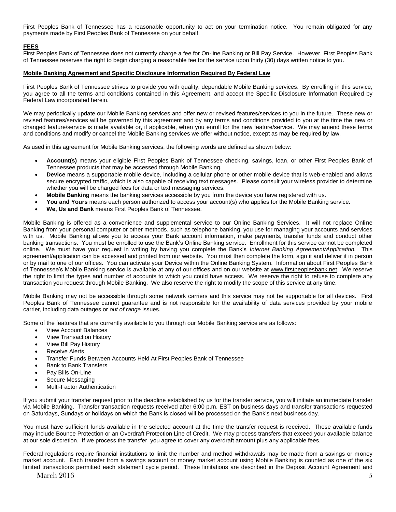First Peoples Bank of Tennessee has a reasonable opportunity to act on your termination notice. You remain obligated for any payments made by First Peoples Bank of Tennessee on your behalf.

## **FEES**

First Peoples Bank of Tennessee does not currently charge a fee for On-line Banking or Bill Pay Service. However, First Peoples Bank of Tennessee reserves the right to begin charging a reasonable fee for the service upon thirty (30) days written notice to you.

#### **Mobile Banking Agreement and Specific Disclosure Information Required By Federal Law**

First Peoples Bank of Tennessee strives to provide you with quality, dependable Mobile Banking services. By enrolling in this service, you agree to all the terms and conditions contained in this Agreement, and accept the Specific Disclosure Information Required by Federal Law incorporated herein.

We may periodically update our Mobile Banking services and offer new or revised features/services to you in the future. These new or revised features/services will be governed by this agreement and by any terms and conditions provided to you at the time the new or changed feature/service is made available or, if applicable, when you enroll for the new feature/service. We may amend these terms and conditions and modify or cancel the Mobile Banking services we offer without notice, except as may be required by law.

As used in this agreement for Mobile Banking services, the following words are defined as shown below:

- **Account(s)** means your eligible First Peoples Bank of Tennessee checking, savings, loan, or other First Peoples Bank of Tennessee products that may be accessed through Mobile Banking.
- **Device** means a supportable mobile device, including a cellular phone or other mobile device that is web-enabled and allows secure encrypted traffic, which is also capable of receiving text messages. Please consult your wireless provider to determine whether you will be charged fees for data or text messaging services.
- **Mobile Banking** means the banking services accessible by you from the device you have registered with us.
- **You and Yours** means each person authorized to access your account(s) who applies for the Mobile Banking service.
- **We, Us and Bank** means First Peoples Bank of Tennessee.

Mobile Banking is offered as a convenience and supplemental service to our Online Banking Services. It will not replace Online Banking from your personal computer or other methods, such as telephone banking, you use for managing your accounts and services with us. Mobile Banking allows you to access your Bank account information, make payments, transfer funds and conduct other banking transactions. You must be enrolled to use the Bank's Online Banking service. Enrollment for this service cannot be completed online. We must have your request in writing by having you complete the Bank's *Internet Banking Agreement/Application.* This agreement/application can be accessed and printed from our website. You must then complete the form, sign it and deliver it in person or by mail to one of our offices. You can activate your Device within the Online Banking System. Information about First Peoples Bank of Tennessee's Mobile Banking service is available at any of our offices and on our website at [www.firstpeoplesbank.net.](http://www.firstpeoplesbank.net/) We reserve the right to limit the types and number of accounts to which you could have access. We reserve the right to refuse to complete any transaction you request through Mobile Banking. We also reserve the right to modify the scope of this service at any time.

Mobile Banking may not be accessible through some network carriers and this service may not be supportable for all devices. First Peoples Bank of Tennessee cannot guarantee and is not responsible for the availability of data services provided by your mobile carrier, including data outages or *out of range* issues.

Some of the features that are currently available to you through our Mobile Banking service are as follows:

- View Account Balances
- View Transaction History
- View Bill Pay History
- Receive Alerts
- Transfer Funds Between Accounts Held At First Peoples Bank of Tennessee
- Bank to Bank Transfers
- Pay Bills On-Line
- Secure Messaging
- Multi-Factor Authentication

If you submit your transfer request prior to the deadline established by us for the transfer service, you will initiate an immediate transfer via Mobile Banking. Transfer transaction requests received after 6:00 p.m. EST on business days and transfer transactions requested on Saturdays, Sundays or holidays on which the Bank is closed will be processed on the Bank's next business day.

You must have sufficient funds available in the selected account at the time the transfer request is received. These available funds may include Bounce Protection or an Overdraft Protection Line of Credit. We may process transfers that exceed your available balance at our sole discretion. If we process the transfer, you agree to cover any overdraft amount plus any applicable fees.

March  $2016$  5 Federal regulations require financial institutions to limit the number and method withdrawals may be made from a savings or money market account. Each transfer from a savings account or money market account using Mobile Banking is counted as one of the six limited transactions permitted each statement cycle period. These limitations are described in the Deposit Account Agreement and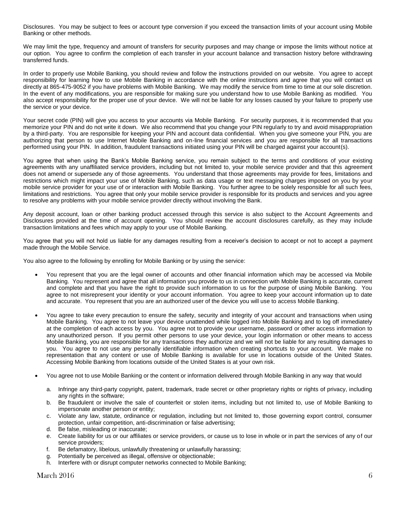Disclosures. You may be subject to fees or account type conversion if you exceed the transaction limits of your account using Mobile Banking or other methods.

We may limit the type, frequency and amount of transfers for security purposes and may change or impose the limits without notice at our option. You agree to confirm the completion of each transfer in your account balance and transaction history before withdrawing transferred funds.

In order to properly use Mobile Banking, you should review and follow the instructions provided on our website. You agree to accept responsibility for learning how to use Mobile Banking in accordance with the online instructions and agree that you will contact us directly at 865-475-9052 if you have problems with Mobile Banking. We may modify the service from time to time at our sole discretion. In the event of any modifications, you are responsible for making sure you understand how to use Mobile Banking as modified. You also accept responsibility for the proper use of your device. We will not be liable for any losses caused by your failure to properly use the service or your device.

Your secret code (PIN) will give you access to your accounts via Mobile Banking. For security purposes, it is recommended that you memorize your PIN and do not write it down. We also recommend that you change your PIN regularly to try and avoid misappropriation by a third-party. You are responsible for keeping your PIN and account data confidential. When you give someone your PIN, you are authorizing that person to use Internet Mobile Banking and on-line financial services and you are responsible for all transactions performed using your PIN. In addition, fraudulent transactions initiated using your PIN will be charged against your account(s).

You agree that when using the Bank's Mobile Banking service, you remain subject to the terms and conditions of your existing agreements with any unaffiliated service providers, including but not limited to, your mobile service provider and that this agreement does not amend or supersede any of those agreements. You understand that those agreements may provide for fees, limitations and restrictions which might impact your use of Mobile Banking, such as data usage or text messaging charges imposed on you by your mobile service provider for your use of or interaction with Mobile Banking. You further agree to be solely responsible for all such fees, limitations and restrictions. You agree that only your mobile service provider is responsible for its products and services and you agree to resolve any problems with your mobile service provider directly without involving the Bank.

Any deposit account, loan or other banking product accessed through this service is also subject to the Account Agreements and Disclosures provided at the time of account opening. You should review the account disclosures carefully, as they may include transaction limitations and fees which may apply to your use of Mobile Banking.

You agree that you will not hold us liable for any damages resulting from a receiver's decision to accept or not to accept a payment made through the Mobile Service.

You also agree to the following by enrolling for Mobile Banking or by using the service:

- You represent that you are the legal owner of accounts and other financial information which may be accessed via Mobile Banking. You represent and agree that all information you provide to us in connection with Mobile Banking is accurate, current and complete and that you have the right to provide such information to us for the purpose of using Mobile Banking. You agree to not misrepresent your identity or your account information. You agree to keep your account information up to date and accurate. You represent that you are an authorized user of the device you will use to access Mobile Banking.
- You agree to take every precaution to ensure the safety, security and integrity of your account and transactions when using Mobile Banking. You agree to not leave your device unattended while logged into Mobile Banking and to log off immediately at the completion of each access by you. You agree not to provide your username, password or other access information to any unauthorized person. If you permit other persons to use your device, your login information or other means to access Mobile Banking, you are responsible for any transactions they authorize and we will not be liable for any resulting damages to you. You agree to not use any personally identifiable information when creating shortcuts to your account. We make no representation that any content or use of Mobile Banking is available for use in locations outside of the United States. Accessing Mobile Banking from locations outside of the United States is at your own risk.
- You agree not to use Mobile Banking or the content or information delivered through Mobile Banking in any way that would
	- a. Infringe any third-party copyright, patent, trademark, trade secret or other proprietary rights or rights of privacy, including any rights in the software;
	- b. Be fraudulent or involve the sale of counterfeit or stolen items, including but not limited to, use of Mobile Banking to impersonate another person or entity;
	- c. Violate any law, statute, ordinance or regulation, including but not limited to, those governing export control, consumer protection, unfair competition, anti-discrimination or false advertising;
	- d. Be false, misleading or inaccurate;
	- e. Create liability for us or our affiliates or service providers, or cause us to lose in whole or in part the services of any of our service providers;
	- f. Be defamatory, libelous, unlawfully threatening or unlawfully harassing;
	- g. Potentially be perceived as illegal, offensive or objectionable;
	- h. Interfere with or disrupt computer networks connected to Mobile Banking;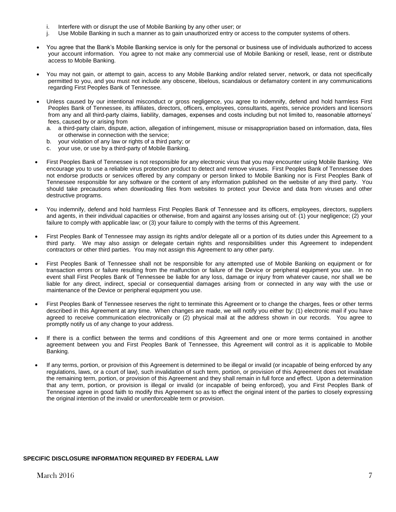- i. Interfere with or disrupt the use of Mobile Banking by any other user; or
- j. Use Mobile Banking in such a manner as to gain unauthorized entry or access to the computer systems of others.
- You agree that the Bank's Mobile Banking service is only for the personal or business use of individuals authorized to access your account information. You agree to not make any commercial use of Mobile Banking or resell, lease, rent or distribute access to Mobile Banking.
- You may not gain, or attempt to gain, access to any Mobile Banking and/or related server, network, or data not specifically permitted to you, and you must not include any obscene, libelous, scandalous or defamatory content in any communications regarding First Peoples Bank of Tennessee.
- Unless caused by our intentional misconduct or gross negligence, you agree to indemnify, defend and hold harmless First Peoples Bank of Tennessee, its affiliates, directors, officers, employees, consultants, agents, service providers and licensors from any and all third-party claims, liability, damages, expenses and costs including but not limited to, reasonable attorneys' fees, caused by or arising from
	- a. a third-party claim, dispute, action, allegation of infringement, misuse or misappropriation based on information, data, files or otherwise in connection with the service;
	- b. your violation of any law or rights of a third party; or
	- c. your use, or use by a third-party of Mobile Banking.
- First Peoples Bank of Tennessee is not responsible for any electronic virus that you may encounter using Mobile Banking. We encourage you to use a reliable virus protection product to detect and remove viruses. First Peoples Bank of Tennessee does not endorse products or services offered by any company or person linked to Mobile Banking nor is First Peoples Bank of Tennessee responsible for any software or the content of any information published on the website of any third party. You should take precautions when downloading files from websites to protect your Device and data from viruses and other destructive programs.
- You indemnify, defend and hold harmless First Peoples Bank of Tennessee and its officers, employees, directors, suppliers and agents, in their individual capacities or otherwise, from and against any losses arising out of: (1) your negligence; (2) your failure to comply with applicable law; or (3) your failure to comply with the terms of this Agreement.
- First Peoples Bank of Tennessee may assign its rights and/or delegate all or a portion of its duties under this Agreement to a third party. We may also assign or delegate certain rights and responsibilities under this Agreement to independent contractors or other third parties. You may not assign this Agreement to any other party.
- First Peoples Bank of Tennessee shall not be responsible for any attempted use of Mobile Banking on equipment or for transaction errors or failure resulting from the malfunction or failure of the Device or peripheral equipment you use. In no event shall First Peoples Bank of Tennessee be liable for any loss, damage or injury from whatever cause, nor shall we be liable for any direct, indirect, special or consequential damages arising from or connected in any way with the use or maintenance of the Device or peripheral equipment you use.
- First Peoples Bank of Tennessee reserves the right to terminate this Agreement or to change the charges, fees or other terms described in this Agreement at any time. When changes are made, we will notify you either by: (1) electronic mail if you have agreed to receive communication electronically or (2) physical mail at the address shown in our records. You agree to promptly notify us of any change to your address.
- If there is a conflict between the terms and conditions of this Agreement and one or more terms contained in another agreement between you and First Peoples Bank of Tennessee, this Agreement will control as it is applicable to Mobile Banking.
- If any terms, portion, or provision of this Agreement is determined to be illegal or invalid (or incapable of being enforced by any regulations, laws, or a court of law), such invalidation of such term, portion, or provision of this Agreement does not invalidate the remaining term, portion, or provision of this Agreement and they shall remain in full force and effect. Upon a determination that any term, portion, or provision is illegal or invalid (or incapable of being enforced), you and First Peoples Bank of Tennessee agree in good faith to modify this Agreement so as to effect the original intent of the parties to closely expressing the original intention of the invalid or unenforceable term or provision.

## **SPECIFIC DISCLOSURE INFORMATION REQUIRED BY FEDERAL LAW**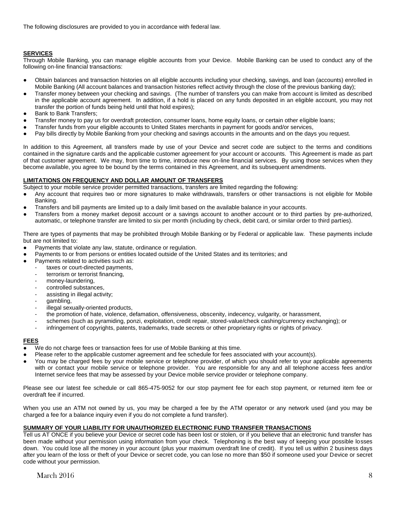The following disclosures are provided to you in accordance with federal law.

# **SERVICES**

Through Mobile Banking, you can manage eligible accounts from your Device. Mobile Banking can be used to conduct any of the following on-line financial transactions:

- Obtain balances and transaction histories on all eligible accounts including your checking, savings, and loan (accounts) enrolled in Mobile Banking (All account balances and transaction histories reflect activity through the close of the previous banking day);
- Transfer money between your checking and savings. (The number of transfers you can make from account is limited as described in the applicable account agreement. In addition, if a hold is placed on any funds deposited in an eligible account, you may not transfer the portion of funds being held until that hold expires);
- Bank to Bank Transfers;
- Transfer money to pay us for overdraft protection, consumer loans, home equity loans, or certain other eligible loans;
- Transfer funds from your eligible accounts to United States merchants in payment for goods and/or services,
- Pay bills directly by Mobile Banking from your checking and savings accounts in the amounts and on the days you request.

In addition to this Agreement, all transfers made by use of your Device and secret code are subject to the terms and conditions contained in the signature cards and the applicable customer agreement for your account or accounts. This Agreement is made as part of that customer agreement. We may, from time to time, introduce new on-line financial services. By using those services when they become available, you agree to be bound by the terms contained in this Agreement, and its subsequent amendments.

## **LIMITATIONS ON FREQUENCY AND DOLLAR AMOUNT OF TRANSFERS**

Subject to your mobile service provider permitted transactions, transfers are limited regarding the following:

- Any account that requires two or more signatures to make withdrawals, transfers or other transactions is not eligible for Mobile Banking.
- Transfers and bill payments are limited up to a daily limit based on the available balance in your accounts.
- Transfers from a money market deposit account or a savings account to another account or to third parties by pre-authorized, automatic, or telephone transfer are limited to six per month (including by check, debit card, or similar order to third parties).

There are types of payments that may be prohibited through Mobile Banking or by Federal or applicable law. These payments include but are not limited to:

- Payments that violate any law, statute, ordinance or regulation.
- Payments to or from persons or entities located outside of the United States and its territories; and
- Payments related to activities such as:
	- taxes or court-directed payments,
	- terrorism or terrorist financing,
	- money-laundering,
	- controlled substances,
	- assisting in illegal activity;
	- gambling,
	- illegal sexually-oriented products,
	- the promotion of hate, violence, defamation, offensiveness, obscenity, indecency, vulgarity, or harassment,
	- schemes (such as pyramiding, ponzi, exploitation, credit repair, stored-value/check cashing/currency exchanging); or
	- infringement of copyrights, patents, trademarks, trade secrets or other proprietary rights or rights of privacy.

### **FEES**

- We do not charge fees or transaction fees for use of Mobile Banking at this time.
- Please refer to the applicable customer agreement and fee schedule for fees associated with your account(s).
- You may be charged fees by your mobile service or telephone provider, of which you should refer to your applicable agreements with or contact your mobile service or telephone provider. You are responsible for any and all telephone access fees and/or Internet service fees that may be assessed by your Device mobile service provider or telephone company.

Please see our latest fee schedule or call 865-475-9052 for our stop payment fee for each stop payment, or returned item fee or overdraft fee if incurred.

When you use an ATM not owned by us, you may be charged a fee by the ATM operator or any network used (and you may be charged a fee for a balance inquiry even if you do not complete a fund transfer).

# **SUMMARY OF YOUR LIABILITY FOR UNAUTHORIZED ELECTRONIC FUND TRANSFER TRANSACTIONS**

Tell us AT ONCE if you believe your Device or secret code has been lost or stolen, or if you believe that an electronic fund transfer has been made without your permission using information from your check. Telephoning is the best way of keeping your possible losses down. You could lose all the money in your account (plus your maximum overdraft line of credit). If you tell us within 2 business days after you learn of the loss or theft of your Device or secret code, you can lose no more than \$50 if someone used your Device or secret code without your permission.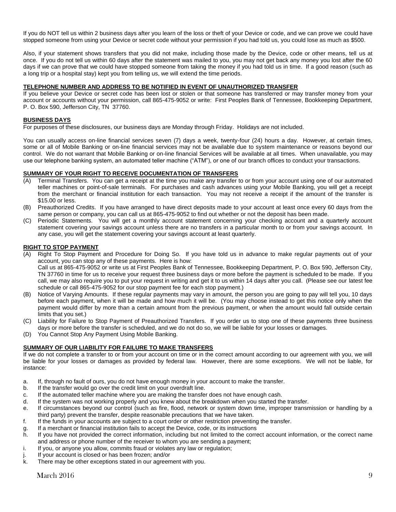If you do NOT tell us within 2 business days after you learn of the loss or theft of your Device or code, and we can prove we could have stopped someone from using your Device or secret code without your permission if you had told us, you could lose as much as \$500.

Also, if your statement shows transfers that you did not make, including those made by the Device, code or other means, tell us at once. If you do not tell us within 60 days after the statement was mailed to you, you may not get back any money you lost after the 60 days if we can prove that we could have stopped someone from taking the money if you had told us in time. If a good reason (such as a long trip or a hospital stay) kept you from telling us, we will extend the time periods.

## **TELEPHONE NUMBER AND ADDRESS TO BE NOTIFIED IN EVENT OF UNAUTHORIZED TRANSFER**

If you believe your Device or secret code has been lost or stolen or that someone has transferred or may transfer money from your account or accounts without your permission, call 865-475-9052 or write: First Peoples Bank of Tennessee, Bookkeeping Department, P. O. Box 590, Jefferson City, TN 37760.

## **BUSINESS DAYS**

For purposes of these disclosures, our business days are Monday through Friday. Holidays are not included.

You can usually access on-line financial services seven (7) days a week, twenty-four (24) hours a day. However, at certain times, some or all of Mobile Banking or on-line financial services may not be available due to system maintenance or reasons beyond our control. We do not warrant that Mobile Banking or on-line financial Services will be available at all times. When unavailable, you may use our telephone banking system, an automated teller machine ("ATM"), or one of our branch offices to conduct your transactions.

# **SUMMARY OF YOUR RIGHT TO RECEIVE DOCUMENTATION OF TRANSFERS**

- (A) Terminal Transfers. You can get a receipt at the time you make any transfer to or from your account using one of our automated teller machines or point-of-sale terminals. For purchases and cash advances using your Mobile Banking, you will get a receipt from the merchant or financial institution for each transaction. You may not receive a receipt if the amount of the transfer is \$15.00 or less.
- (B) Preauthorized Credits. If you have arranged to have direct deposits made to your account at least once every 60 days from the same person or company, you can call us at 865-475-9052 to find out whether or not the deposit has been made.
- (C) Periodic Statements. You will get a monthly account statement concerning your checking account and a quarterly account statement covering your savings account unless there are no transfers in a particular month to or from your savings account. In any case, you will get the statement covering your savings account at least quarterly.

## **RIGHT TO STOP PAYMENT**

- (A) Right To Stop Payment and Procedure for Doing So. If you have told us in advance to make regular payments out of your account, you can stop any of these payments. Here is how: Call us at 865-475-9052 or write us at First Peoples Bank of Tennessee, Bookkeeping Department, P. O. Box 590, Jefferson City, TN 37760 in time for us to receive your request three business days or more before the payment is scheduled to be made. If you call, we may also require you to put your request in writing and get it to us within 14 days after you call. (Please see our latest fee schedule or call 865-475-9052 for our stop payment fee for each stop payment.)
- (B) Notice of Varying Amounts. If these regular payments may vary in amount, the person you are going to pay will tell you, 10 days before each payment, when it will be made and how much it will be. (You may choose instead to get this notice only when the payment would differ by more than a certain amount from the previous payment, or when the amount would fall outside certain limits that you set.)
- (C) Liability for Failure to Stop Payment of Preauthorized Transfers. If you order us to stop one of these payments three business days or more before the transfer is scheduled, and we do not do so, we will be liable for your losses or damages.
- (D) You Cannot Stop Any Payment Using Mobile Banking.

# **SUMMARY OF OUR LIABILITY FOR FAILURE TO MAKE TRANSFERS**

If we do not complete a transfer to or from your account on time or in the correct amount according to our agreement with you, we will be liable for your losses or damages as provided by federal law. However, there are some exceptions. We will not be liable, for instance:

- a. If, through no fault of ours, you do not have enough money in your account to make the transfer.
- b. If the transfer would go over the credit limit on your overdraft line.
- c. If the automated teller machine where you are making the transfer does not have enough cash.
- d. If the system was not working properly and you knew about the breakdown when you started the transfer.
- e. If circumstances beyond our control (such as fire, flood, network or system down time, improper transmission or handling by a third party) prevent the transfer, despite reasonable precautions that we have taken.
- f. If the funds in your accounts are subject to a court order or other restriction preventing the transfer.
- g. If a merchant or financial institution fails to accept the Device, code, or its instructions
- h. If you have not provided the correct information, including but not limited to the correct account information, or the correct name and address or phone number of the receiver to whom you are sending a payment;
- i. If you, or anyone you allow, commits fraud or violates any law or regulation;
- j. If your account is closed or has been frozen; and/or
- k. There may be other exceptions stated in our agreement with you.